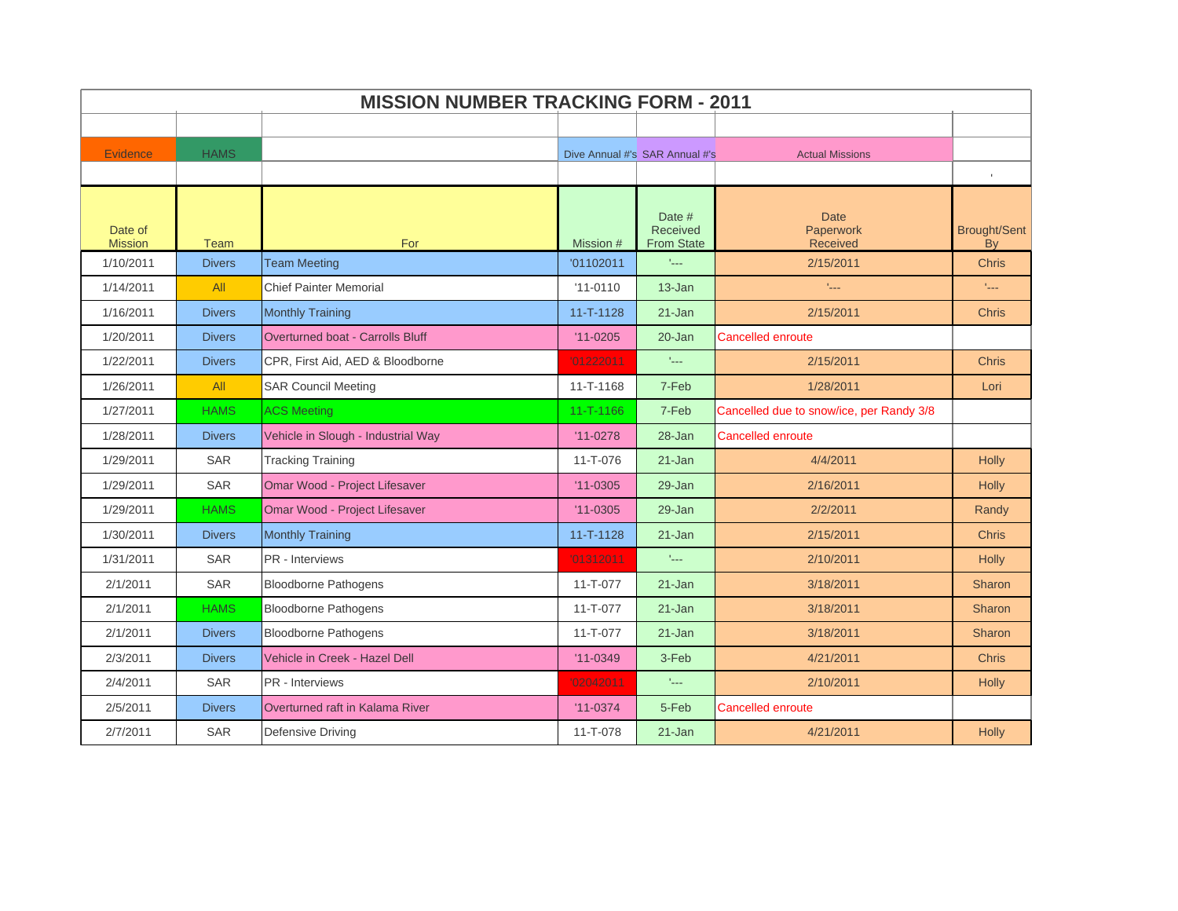|                           | <b>MISSION NUMBER TRACKING FORM - 2011</b> |                                         |                |                                         |                                                    |                                  |  |  |
|---------------------------|--------------------------------------------|-----------------------------------------|----------------|-----------------------------------------|----------------------------------------------------|----------------------------------|--|--|
|                           |                                            |                                         |                |                                         |                                                    |                                  |  |  |
| Evidence                  | <b>HAMS</b>                                |                                         |                | Dive Annual #'s SAR Annual #'s          | <b>Actual Missions</b>                             |                                  |  |  |
|                           |                                            |                                         |                |                                         |                                                    |                                  |  |  |
| Date of<br><b>Mission</b> | Team                                       | For                                     | Mission #      | Date #<br>Received<br><b>From State</b> | <b>Date</b><br><b>Paperwork</b><br><b>Received</b> | <b>Brought/Sent</b><br><b>By</b> |  |  |
| 1/10/2011                 | <b>Divers</b>                              | <b>Team Meeting</b>                     | '01102011      | t <sub>ana</sub>                        | 2/15/2011                                          | <b>Chris</b>                     |  |  |
| 1/14/2011                 | All                                        | <b>Chief Painter Memorial</b>           | $'11 - 0110$   | 13-Jan                                  | $\mathbf{I}_{\text{max}}$                          | t <sub>ana</sub>                 |  |  |
| 1/16/2011                 | <b>Divers</b>                              | <b>Monthly Training</b>                 | 11-T-1128      | 21-Jan                                  | 2/15/2011                                          | Chris                            |  |  |
| 1/20/2011                 | <b>Divers</b>                              | <b>Overturned boat - Carrolls Bluff</b> | $'11 - 0205$   | $20 - Jan$                              | <b>Cancelled enroute</b>                           |                                  |  |  |
| 1/22/2011                 | <b>Divers</b>                              | CPR, First Aid, AED & Bloodborne        | '01222011      | $\mathbb{L}_{\text{max}}$               | 2/15/2011                                          | <b>Chris</b>                     |  |  |
| 1/26/2011                 | All                                        | <b>SAR Council Meeting</b>              | 11-T-1168      | 7-Feb                                   | 1/28/2011                                          | Lori                             |  |  |
| 1/27/2011                 | <b>HAMS</b>                                | <b>ACS Meeting</b>                      | 11-T-1166      | 7-Feb                                   | Cancelled due to snow/ice, per Randy 3/8           |                                  |  |  |
| 1/28/2011                 | <b>Divers</b>                              | Vehicle in Slough - Industrial Way      | $'11-0278$     | 28-Jan                                  | <b>Cancelled enroute</b>                           |                                  |  |  |
| 1/29/2011                 | <b>SAR</b>                                 | <b>Tracking Training</b>                | 11-T-076       | 21-Jan                                  | 4/4/2011                                           | <b>Holly</b>                     |  |  |
| 1/29/2011                 | <b>SAR</b>                                 | Omar Wood - Project Lifesaver           | $'11 - 0305$   | 29-Jan                                  | 2/16/2011                                          | <b>Holly</b>                     |  |  |
| 1/29/2011                 | <b>HAMS</b>                                | Omar Wood - Project Lifesaver           | $'11 - 0305$   | 29-Jan                                  | 2/2/2011                                           | Randy                            |  |  |
| 1/30/2011                 | <b>Divers</b>                              | <b>Monthly Training</b>                 | 11-T-1128      | $21 - Jan$                              | 2/15/2011                                          | <b>Chris</b>                     |  |  |
| 1/31/2011                 | SAR                                        | PR - Interviews                         | '01312011      | $\epsilon_{\rm max}$                    | 2/10/2011                                          | <b>Holly</b>                     |  |  |
| 2/1/2011                  | SAR                                        | <b>Bloodborne Pathogens</b>             | 11-T-077       | $21 - Jan$                              | 3/18/2011                                          | Sharon                           |  |  |
| 2/1/2011                  | <b>HAMS</b>                                | <b>Bloodborne Pathogens</b>             | $11 - T - 077$ | $21 - Jan$                              | 3/18/2011                                          | Sharon                           |  |  |
| 2/1/2011                  | <b>Divers</b>                              | <b>Bloodborne Pathogens</b>             | 11-T-077       | 21-Jan                                  | 3/18/2011                                          | Sharon                           |  |  |
| 2/3/2011                  | <b>Divers</b>                              | Vehicle in Creek - Hazel Dell           | $'11 - 0349$   | 3-Feb                                   | 4/21/2011                                          | <b>Chris</b>                     |  |  |
| 2/4/2011                  | <b>SAR</b>                                 | PR - Interviews                         | '02042011      | $\mathbf{r}_{\text{max}}$               | 2/10/2011                                          | <b>Holly</b>                     |  |  |
| 2/5/2011                  | <b>Divers</b>                              | Overturned raft in Kalama River         | $'11 - 0374$   | 5-Feb                                   | <b>Cancelled enroute</b>                           |                                  |  |  |
| 2/7/2011                  | <b>SAR</b>                                 | <b>Defensive Driving</b>                | 11-T-078       | 21-Jan                                  | 4/21/2011                                          | <b>Holly</b>                     |  |  |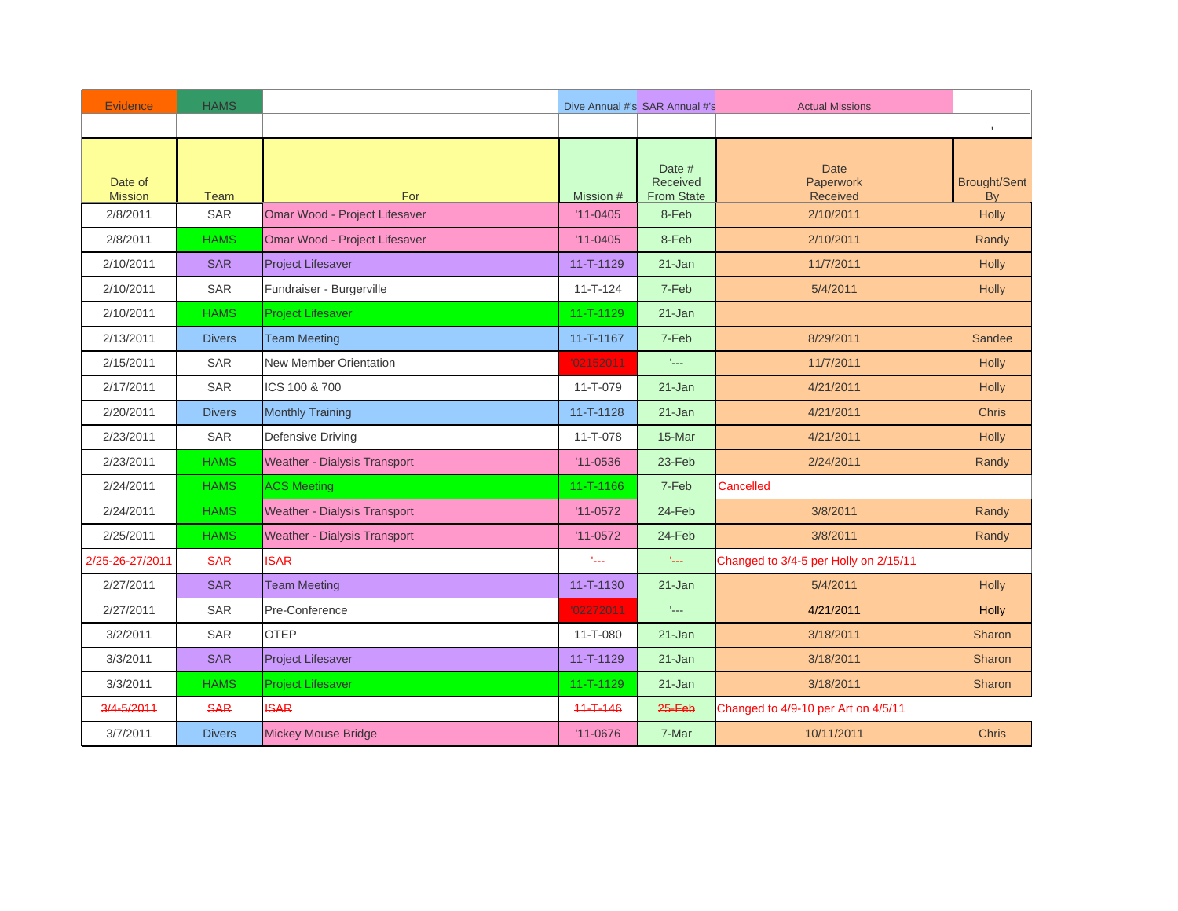| <b>Evidence</b>           | <b>HAMS</b>   |                                     |                           | Dive Annual #'s SAR Annual #'s          | <b>Actual Missions</b>                |                                  |
|---------------------------|---------------|-------------------------------------|---------------------------|-----------------------------------------|---------------------------------------|----------------------------------|
|                           |               |                                     |                           |                                         |                                       | $\mathbf{L}$                     |
| Date of<br><b>Mission</b> | Team          | For                                 | Mission #                 | Date #<br>Received<br><b>From State</b> | <b>Date</b><br>Paperwork<br>Received  | <b>Brought/Sent</b><br><b>By</b> |
| 2/8/2011                  | SAR           | Omar Wood - Project Lifesaver       | $'11 - 0405$              | 8-Feb                                   | 2/10/2011                             | Holly                            |
| 2/8/2011                  | <b>HAMS</b>   | Omar Wood - Project Lifesaver       | $'11 - 0405$              | 8-Feb                                   | 2/10/2011                             | Randy                            |
| 2/10/2011                 | <b>SAR</b>    | <b>Project Lifesaver</b>            | $11 - T - 1129$           | $21 - Jan$                              | 11/7/2011                             | <b>Holly</b>                     |
| 2/10/2011                 | <b>SAR</b>    | Fundraiser - Burgerville            | $11 - T - 124$            | 7-Feb                                   | 5/4/2011                              | <b>Holly</b>                     |
| 2/10/2011                 | <b>HAMS</b>   | <b>Project Lifesaver</b>            | 11-T-1129                 | 21-Jan                                  |                                       |                                  |
| 2/13/2011                 | <b>Divers</b> | <b>Team Meeting</b>                 | 11-T-1167                 | 7-Feb                                   | 8/29/2011                             | Sandee                           |
| 2/15/2011                 | <b>SAR</b>    | <b>New Member Orientation</b>       | '02152011                 | $\mathbb{L}_{\text{max}}$               | 11/7/2011                             | Holly                            |
| 2/17/2011                 | <b>SAR</b>    | ICS 100 & 700                       | 11-T-079                  | $21 - Jan$                              | 4/21/2011                             | <b>Holly</b>                     |
| 2/20/2011                 | <b>Divers</b> | <b>Monthly Training</b>             | $11 - T - 1128$           | $21 - Jan$                              | 4/21/2011                             | <b>Chris</b>                     |
| 2/23/2011                 | SAR           | Defensive Driving                   | $11 - T - 078$            | 15-Mar                                  | 4/21/2011                             | <b>Holly</b>                     |
| 2/23/2011                 | <b>HAMS</b>   | Weather - Dialysis Transport        | $'11 - 0536$              | 23-Feb                                  | 2/24/2011                             | Randy                            |
| 2/24/2011                 | <b>HAMS</b>   | <b>ACS Meeting</b>                  | 11-T-1166                 | 7-Feb                                   | Cancelled                             |                                  |
| 2/24/2011                 | <b>HAMS</b>   | Weather - Dialysis Transport        | $'11-0572$                | 24-Feb                                  | 3/8/2011                              | Randy                            |
| 2/25/2011                 | <b>HAMS</b>   | <b>Weather - Dialysis Transport</b> | $'11-0572$                | 24-Feb                                  | 3/8/2011                              | Randy                            |
| 2/25-26-27/2011           | <b>SAR</b>    | <b>ISAR</b>                         | $\mathbf{L}_{\text{max}}$ | $\underline{\mathbf{1}}$                | Changed to 3/4-5 per Holly on 2/15/11 |                                  |
| 2/27/2011                 | <b>SAR</b>    | <b>Team Meeting</b>                 | 11-T-1130                 | 21-Jan                                  | 5/4/2011                              | Holly                            |
| 2/27/2011                 | <b>SAR</b>    | Pre-Conference                      | '02272011                 | $\mathbb{L}_{\text{max}}$               | 4/21/2011                             | <b>Holly</b>                     |
| 3/2/2011                  | <b>SAR</b>    | <b>OTEP</b>                         | $11 - T - 080$            | 21-Jan                                  | 3/18/2011                             | <b>Sharon</b>                    |
| 3/3/2011                  | <b>SAR</b>    | <b>Project Lifesaver</b>            | $11 - T - 1129$           | $21 - Jan$                              | 3/18/2011                             | Sharon                           |
| 3/3/2011                  | <b>HAMS</b>   | <b>Project Lifesaver</b>            | $11 - T - 1129$           | $21 - Jan$                              | 3/18/2011                             | <b>Sharon</b>                    |
| 3/4-5/2011                | <b>SAR</b>    | <b>ISAR</b>                         | $11 - T - 146$            | $25 - Feb$                              | Changed to 4/9-10 per Art on 4/5/11   |                                  |
| 3/7/2011                  | <b>Divers</b> | <b>Mickey Mouse Bridge</b>          | $'11 - 0676$              | 7-Mar                                   | 10/11/2011                            | <b>Chris</b>                     |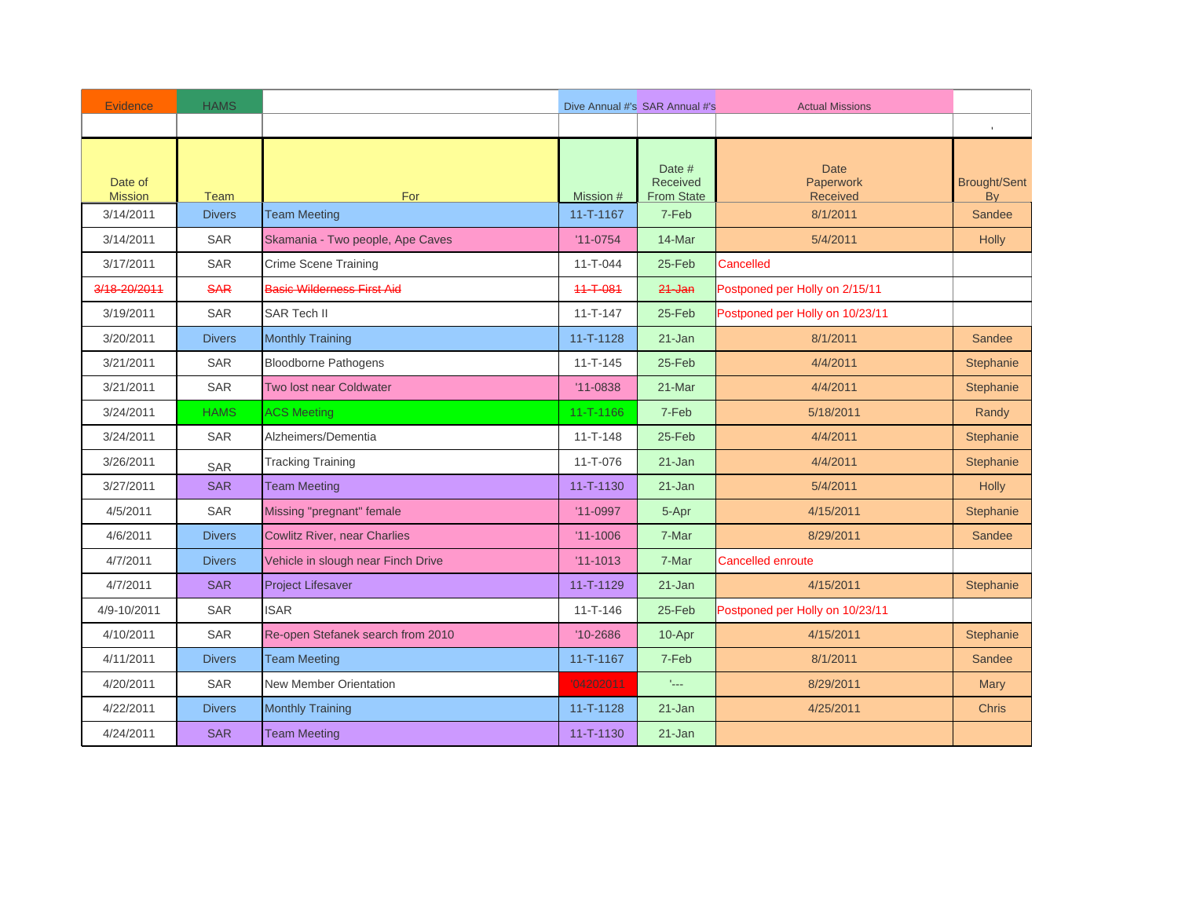| Evidence                  | <b>HAMS</b>   |                                    |                 | Dive Annual #'s SAR Annual #'s          | <b>Actual Missions</b>                      |                                  |
|---------------------------|---------------|------------------------------------|-----------------|-----------------------------------------|---------------------------------------------|----------------------------------|
|                           |               |                                    |                 |                                         |                                             |                                  |
| Date of<br><b>Mission</b> | <b>Team</b>   | For                                | Mission #       | Date #<br>Received<br><b>From State</b> | <b>Date</b><br>Paperwork<br><b>Received</b> | <b>Brought/Sent</b><br><b>By</b> |
| 3/14/2011                 | <b>Divers</b> | <b>Team Meeting</b>                | $11 - T - 1167$ | 7-Feb                                   | 8/1/2011                                    | Sandee                           |
| 3/14/2011                 | <b>SAR</b>    | Skamania - Two people, Ape Caves   | $'11-0754$      | 14-Mar                                  | 5/4/2011                                    | <b>Holly</b>                     |
| 3/17/2011                 | <b>SAR</b>    | Crime Scene Training               | $11 - T - 044$  | 25-Feb                                  | Cancelled                                   |                                  |
| 3/18-20/2011              | <b>SAR</b>    | <b>Basic Wilderness First Aid</b>  | $11 - T - 081$  | $24 - Jan$                              | Postponed per Holly on 2/15/11              |                                  |
| 3/19/2011                 | <b>SAR</b>    | <b>SAR Tech II</b>                 | $11 - T - 147$  | 25-Feb                                  | Postponed per Holly on 10/23/11             |                                  |
| 3/20/2011                 | <b>Divers</b> | <b>Monthly Training</b>            | $11 - T - 1128$ | 21-Jan                                  | 8/1/2011                                    | Sandee                           |
| 3/21/2011                 | SAR           | <b>Bloodborne Pathogens</b>        | $11 - T - 145$  | 25-Feb                                  | 4/4/2011                                    | Stephanie                        |
| 3/21/2011                 | <b>SAR</b>    | <b>Two lost near Coldwater</b>     | $'11 - 0838$    | 21-Mar                                  | 4/4/2011                                    | Stephanie                        |
| 3/24/2011                 | <b>HAMS</b>   | <b>ACS Meeting</b>                 | 11-T-1166       | 7-Feb                                   | 5/18/2011                                   | Randy                            |
| 3/24/2011                 | <b>SAR</b>    | Alzheimers/Dementia                | $11 - T - 148$  | 25-Feb                                  | 4/4/2011                                    | Stephanie                        |
| 3/26/2011                 | <b>SAR</b>    | <b>Tracking Training</b>           | 11-T-076        | $21 - Jan$                              | 4/4/2011                                    | Stephanie                        |
| 3/27/2011                 | <b>SAR</b>    | <b>Team Meeting</b>                | 11-T-1130       | $21 - Jan$                              | 5/4/2011                                    | <b>Holly</b>                     |
| 4/5/2011                  | <b>SAR</b>    | Missing "pregnant" female          | $'11-0997$      | 5-Apr                                   | 4/15/2011                                   | Stephanie                        |
| 4/6/2011                  | <b>Divers</b> | Cowlitz River, near Charlies       | $'11 - 1006$    | 7-Mar                                   | 8/29/2011                                   | Sandee                           |
| 4/7/2011                  | <b>Divers</b> | Vehicle in slough near Finch Drive | $'11 - 1013$    | 7-Mar                                   | <b>Cancelled enroute</b>                    |                                  |
| 4/7/2011                  | <b>SAR</b>    | <b>Project Lifesaver</b>           | 11-T-1129       | $21 - Jan$                              | 4/15/2011                                   | Stephanie                        |
| 4/9-10/2011               | <b>SAR</b>    | <b>ISAR</b>                        | $11 - T - 146$  | 25-Feb                                  | Postponed per Holly on 10/23/11             |                                  |
| 4/10/2011                 | SAR           | Re-open Stefanek search from 2010  | $'10 - 2686$    | 10-Apr                                  | 4/15/2011                                   | Stephanie                        |
| 4/11/2011                 | <b>Divers</b> | <b>Team Meeting</b>                | 11-T-1167       | 7-Feb                                   | 8/1/2011                                    | Sandee                           |
| 4/20/2011                 | <b>SAR</b>    | <b>New Member Orientation</b>      | '04202011       | $\mathbf{t}_{\text{max}}$               | 8/29/2011                                   | <b>Mary</b>                      |
| 4/22/2011                 | <b>Divers</b> | <b>Monthly Training</b>            | $11 - T - 1128$ | $21 - Jan$                              | 4/25/2011                                   | <b>Chris</b>                     |
| 4/24/2011                 | <b>SAR</b>    | <b>Team Meeting</b>                | $11 - T - 1130$ | 21-Jan                                  |                                             |                                  |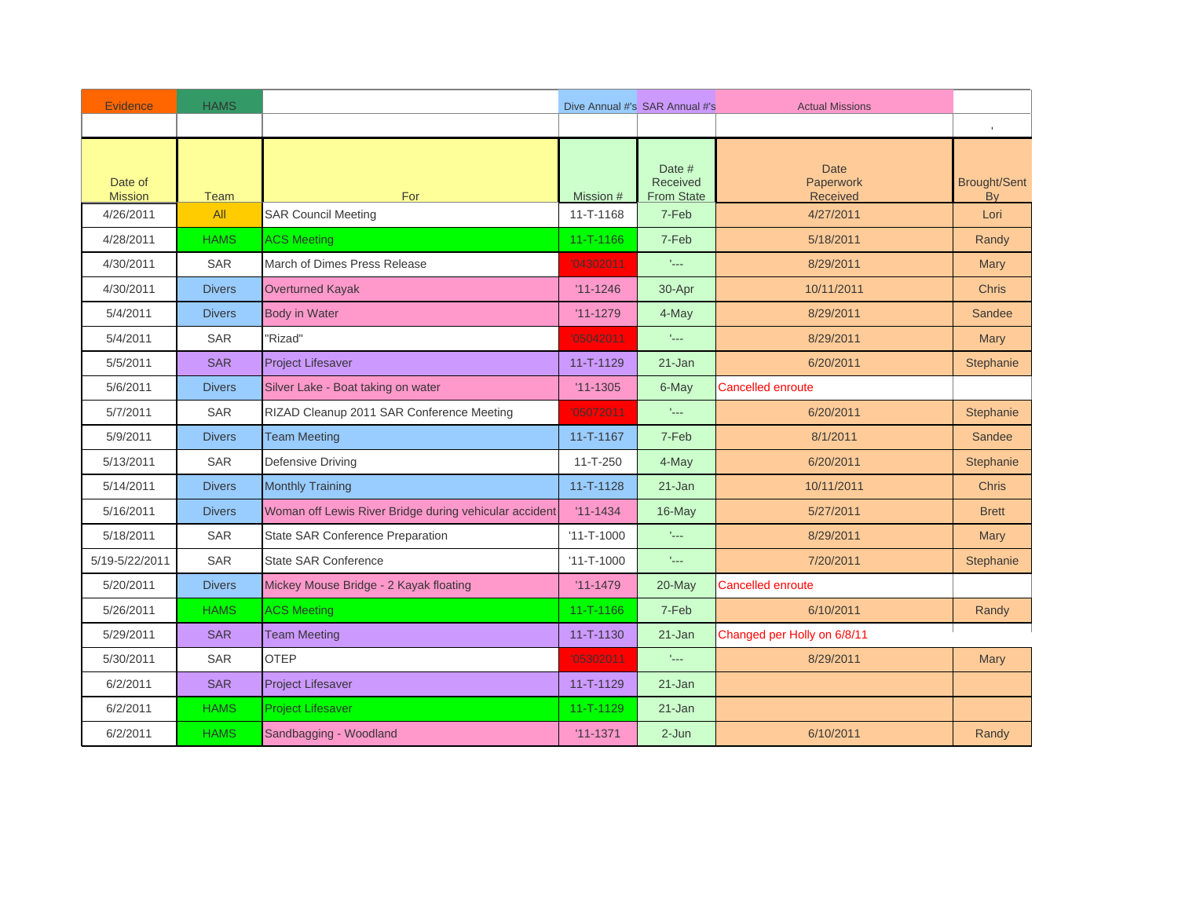| <b>Evidence</b>           | <b>HAMS</b>   |                                                        |                  | Dive Annual #'s SAR Annual #'s          | <b>Actual Missions</b>               |                           |
|---------------------------|---------------|--------------------------------------------------------|------------------|-----------------------------------------|--------------------------------------|---------------------------|
|                           |               |                                                        |                  |                                         |                                      |                           |
| Date of<br><b>Mission</b> | <b>Team</b>   | For                                                    | Mission #        | Date #<br>Received<br><b>From State</b> | <b>Date</b><br>Paperwork<br>Received | <b>Brought/Sent</b><br>By |
| 4/26/2011                 | All           | <b>SAR Council Meeting</b>                             | 11-T-1168        | 7-Feb                                   | 4/27/2011                            | Lori                      |
| 4/28/2011                 | <b>HAMS</b>   | <b>ACS Meeting</b>                                     | 11-T-1166        | 7-Feb                                   | 5/18/2011                            | Randy                     |
| 4/30/2011                 | <b>SAR</b>    | March of Dimes Press Release                           | '04302011        | $\mathbf{I}_{\text{max}}$               | 8/29/2011                            | <b>Mary</b>               |
| 4/30/2011                 | <b>Divers</b> | <b>Overturned Kayak</b>                                | $'11 - 1246$     | 30-Apr                                  | 10/11/2011                           | <b>Chris</b>              |
| 5/4/2011                  | <b>Divers</b> | <b>Body in Water</b>                                   | $'11 - 1279$     | 4-May                                   | 8/29/2011                            | Sandee                    |
| 5/4/2011                  | <b>SAR</b>    | 'Rizad"                                                | '05042011        | ALL.                                    | 8/29/2011                            | Mary                      |
| 5/5/2011                  | <b>SAR</b>    | <b>Project Lifesaver</b>                               | $11 - T - 1129$  | 21-Jan                                  | 6/20/2011                            | Stephanie                 |
| 5/6/2011                  | <b>Divers</b> | Silver Lake - Boat taking on water                     | $'11 - 1305$     | 6-May                                   | <b>Cancelled enroute</b>             |                           |
| 5/7/2011                  | <b>SAR</b>    | RIZAD Cleanup 2011 SAR Conference Meeting              | '05072011        | $\mathbb{L}_{\text{max}}$               | 6/20/2011                            | Stephanie                 |
| 5/9/2011                  | <b>Divers</b> | <b>Team Meeting</b>                                    | 11-T-1167        | 7-Feb                                   | 8/1/2011                             | Sandee                    |
| 5/13/2011                 | <b>SAR</b>    | Defensive Driving                                      | $11 - T - 250$   | 4-May                                   | 6/20/2011                            | Stephanie                 |
| 5/14/2011                 | <b>Divers</b> | <b>Monthly Training</b>                                | 11-T-1128        | $21 - Jan$                              | 10/11/2011                           | <b>Chris</b>              |
| 5/16/2011                 | <b>Divers</b> | Woman off Lewis River Bridge during vehicular accident | $'11 - 1434$     | 16-May                                  | 5/27/2011                            | <b>Brett</b>              |
| 5/18/2011                 | <b>SAR</b>    | State SAR Conference Preparation                       | $'11 - T - 1000$ | $\mathbb{L}_{\text{max}}$               | 8/29/2011                            | Mary                      |
| 5/19-5/22/2011            | <b>SAR</b>    | <b>State SAR Conference</b>                            | $'11 - T - 1000$ | $\mathbb{L}_{\text{max}}$               | 7/20/2011                            | Stephanie                 |
| 5/20/2011                 | <b>Divers</b> | Mickey Mouse Bridge - 2 Kayak floating                 | $'11 - 1479$     | $20$ -May                               | <b>Cancelled enroute</b>             |                           |
| 5/26/2011                 | <b>HAMS</b>   | <b>ACS Meeting</b>                                     | $11 - T - 1166$  | 7-Feb                                   | 6/10/2011                            | Randy                     |
| 5/29/2011                 | <b>SAR</b>    | <b>Team Meeting</b>                                    | 11-T-1130        | $21 - Jan$                              | Changed per Holly on 6/8/11          |                           |
| 5/30/2011                 | <b>SAR</b>    | <b>OTEP</b>                                            | '05302011        | $\mathbf{t}_{\text{max}}$               | 8/29/2011                            | Mary                      |
| 6/2/2011                  | <b>SAR</b>    | <b>Project Lifesaver</b>                               | $11 - T - 1129$  | $21 - Jan$                              |                                      |                           |
| 6/2/2011                  | <b>HAMS</b>   | <b>Project Lifesaver</b>                               | 11-T-1129        | $21 - Jan$                              |                                      |                           |
| 6/2/2011                  | <b>HAMS</b>   | Sandbagging - Woodland                                 | $'11 - 1371$     | $2 - Jun$                               | 6/10/2011                            | Randy                     |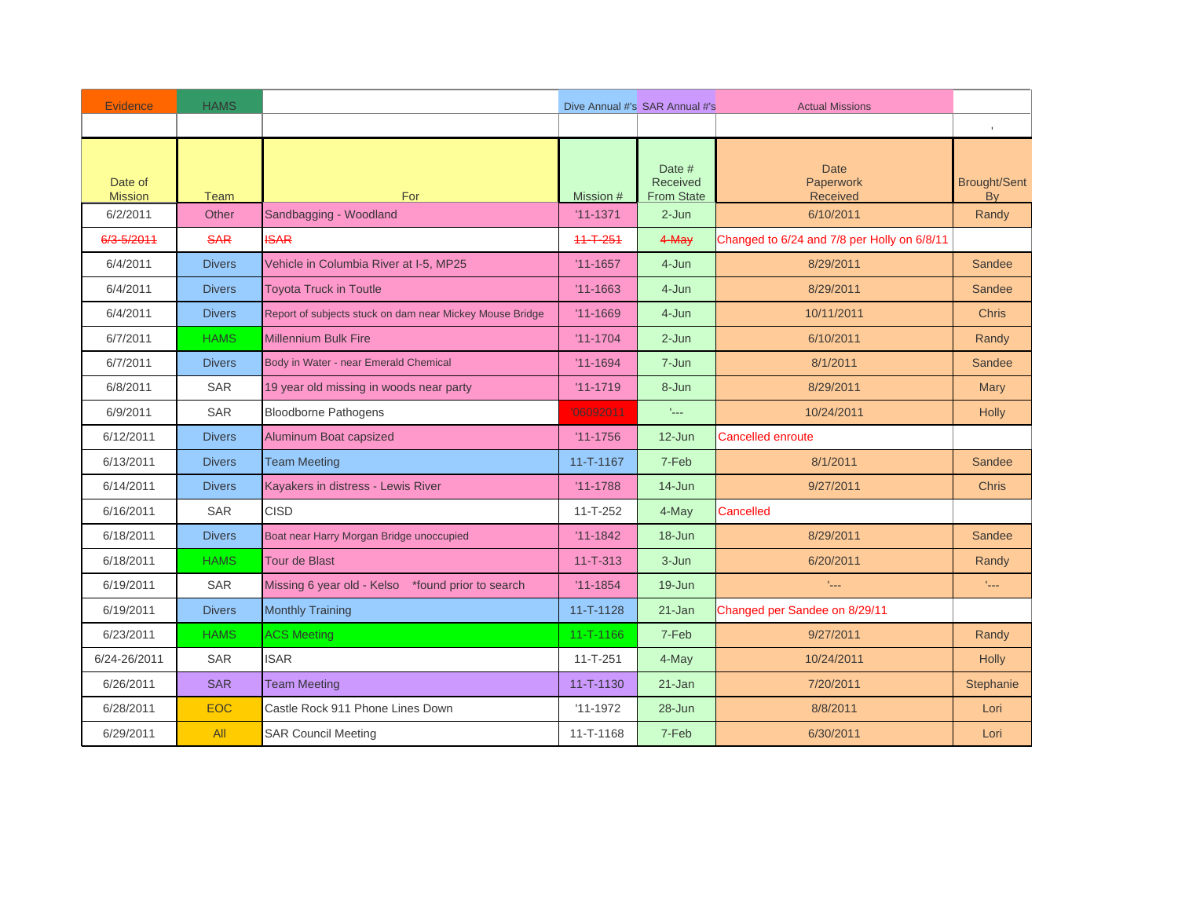| <b>Evidence</b>           | <b>HAMS</b>   |                                                          |                 | Dive Annual #'s SAR Annual #'s                 | <b>Actual Missions</b>                             |                           |
|---------------------------|---------------|----------------------------------------------------------|-----------------|------------------------------------------------|----------------------------------------------------|---------------------------|
|                           |               |                                                          |                 |                                                |                                                    |                           |
| Date of<br><b>Mission</b> | <b>Team</b>   | For                                                      | Mission #       | Date #<br><b>Received</b><br><b>From State</b> | <b>Date</b><br><b>Paperwork</b><br><b>Received</b> | <b>Brought/Sent</b><br>By |
| 6/2/2011                  | Other         | Sandbagging - Woodland                                   | $'11 - 1371$    | $2-Jun$                                        | 6/10/2011                                          | Randy                     |
| 6/3-5/2011                | <b>SAR</b>    | <b>ISAR</b>                                              | $11 - T - 251$  | $4-May$                                        | Changed to 6/24 and 7/8 per Holly on 6/8/11        |                           |
| 6/4/2011                  | <b>Divers</b> | Vehicle in Columbia River at I-5, MP25                   | $'11 - 1657$    | 4-Jun                                          | 8/29/2011                                          | Sandee                    |
| 6/4/2011                  | <b>Divers</b> | <b>Toyota Truck in Toutle</b>                            | $'11 - 1663$    | 4-Jun                                          | 8/29/2011                                          | Sandee                    |
| 6/4/2011                  | <b>Divers</b> | Report of subjects stuck on dam near Mickey Mouse Bridge | $'11 - 1669$    | 4-Jun                                          | 10/11/2011                                         | <b>Chris</b>              |
| 6/7/2011                  | <b>HAMS</b>   | <b>Millennium Bulk Fire</b>                              | $'11 - 1704$    | $2 - Jun$                                      | 6/10/2011                                          | Randy                     |
| 6/7/2011                  | <b>Divers</b> | Body in Water - near Emerald Chemical                    | $'11 - 1694$    | 7-Jun                                          | 8/1/2011                                           | Sandee                    |
| 6/8/2011                  | SAR           | 19 year old missing in woods near party                  | $'11 - 1719$    | 8-Jun                                          | 8/29/2011                                          | Mary                      |
| 6/9/2011                  | <b>SAR</b>    | <b>Bloodborne Pathogens</b>                              | '06092011       | t <sub>an</sub>                                | 10/24/2011                                         | <b>Holly</b>              |
| 6/12/2011                 | <b>Divers</b> | Aluminum Boat capsized                                   | $'11 - 1756$    | $12$ -Jun                                      | <b>Cancelled enroute</b>                           |                           |
| 6/13/2011                 | <b>Divers</b> | <b>Team Meeting</b>                                      | $11 - T - 1167$ | 7-Feb                                          | 8/1/2011                                           | Sandee                    |
| 6/14/2011                 | <b>Divers</b> | Kayakers in distress - Lewis River                       | $'11 - 1788$    | $14 - Jun$                                     | 9/27/2011                                          | <b>Chris</b>              |
| 6/16/2011                 | SAR           | <b>CISD</b>                                              | $11 - T - 252$  | 4-May                                          | Cancelled                                          |                           |
| 6/18/2011                 | <b>Divers</b> | Boat near Harry Morgan Bridge unoccupied                 | $'11 - 1842$    | 18-Jun                                         | 8/29/2011                                          | Sandee                    |
| 6/18/2011                 | <b>HAMS</b>   | <b>Tour de Blast</b>                                     | $11 - T - 313$  | $3 - Jun$                                      | 6/20/2011                                          | Randy                     |
| 6/19/2011                 | <b>SAR</b>    | Missing 6 year old - Kelso *found prior to search        | $'11 - 1854$    | 19-Jun                                         | t <sub>an</sub>                                    | No.                       |
| 6/19/2011                 | <b>Divers</b> | <b>Monthly Training</b>                                  | 11-T-1128       | 21-Jan                                         | Changed per Sandee on 8/29/11                      |                           |
| 6/23/2011                 | <b>HAMS</b>   | <b>ACS Meeting</b>                                       | $11 - T - 1166$ | 7-Feb                                          | 9/27/2011                                          | Randy                     |
| 6/24-26/2011              | <b>SAR</b>    | <b>ISAR</b>                                              | $11 - T - 251$  | 4-May                                          | 10/24/2011                                         | <b>Holly</b>              |
| 6/26/2011                 | <b>SAR</b>    | <b>Team Meeting</b>                                      | 11-T-1130       | $21 - Jan$                                     | 7/20/2011                                          | Stephanie                 |
| 6/28/2011                 | <b>EOC</b>    | Castle Rock 911 Phone Lines Down                         | $'11 - 1972$    | 28-Jun                                         | 8/8/2011                                           | Lori                      |
| 6/29/2011                 | All           | <b>SAR Council Meeting</b>                               | 11-T-1168       | 7-Feb                                          | 6/30/2011                                          | Lori                      |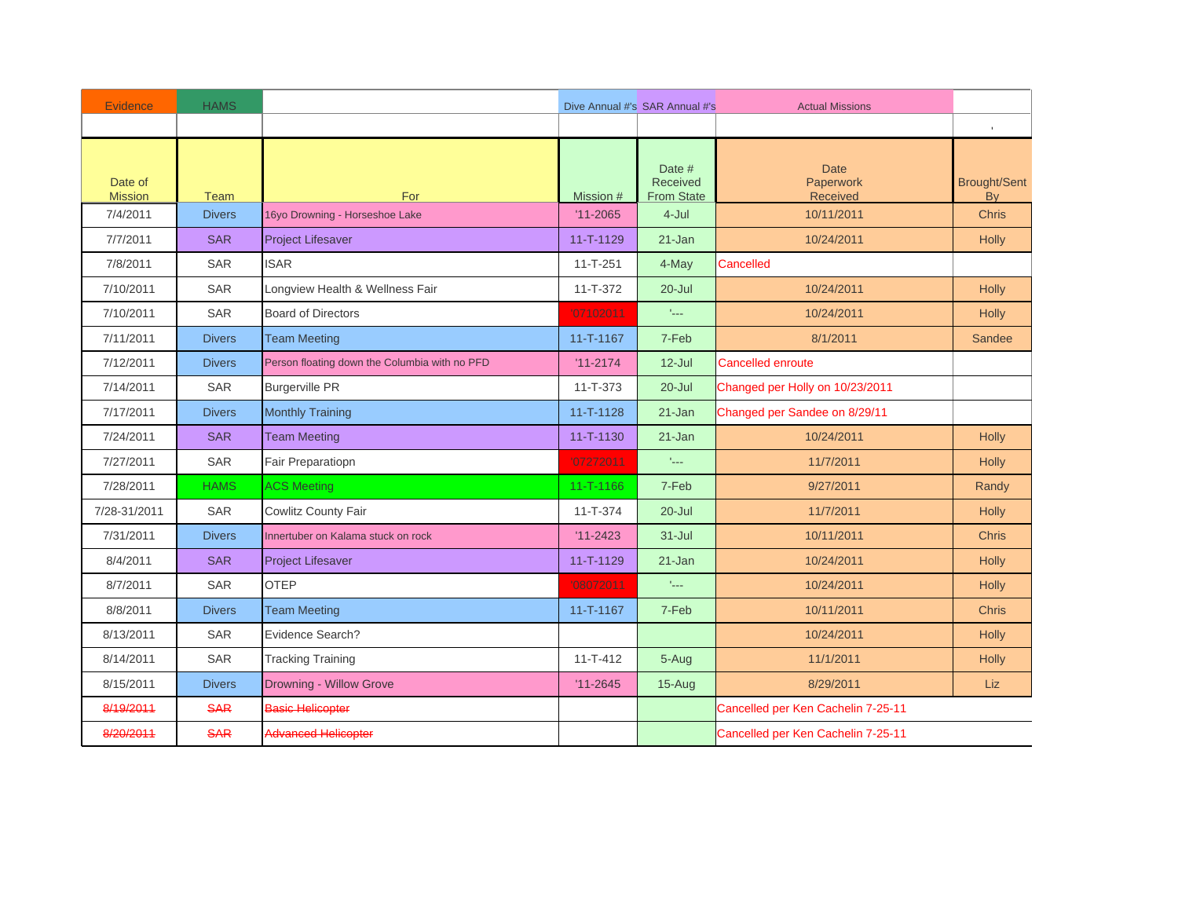| <b>Evidence</b>           | <b>HAMS</b>   |                                               |                 | Dive Annual #'s SAR Annual #'s          | <b>Actual Missions</b>               |                                  |
|---------------------------|---------------|-----------------------------------------------|-----------------|-----------------------------------------|--------------------------------------|----------------------------------|
|                           |               |                                               |                 |                                         |                                      |                                  |
| Date of<br><b>Mission</b> | <b>Team</b>   | For                                           | Mission #       | Date #<br>Received<br><b>From State</b> | <b>Date</b><br>Paperwork<br>Received | <b>Brought/Sent</b><br><b>By</b> |
| 7/4/2011                  | <b>Divers</b> | 16yo Drowning - Horseshoe Lake                | $'11 - 2065$    | 4-Jul                                   | 10/11/2011                           | <b>Chris</b>                     |
| 7/7/2011                  | <b>SAR</b>    | <b>Project Lifesaver</b>                      | 11-T-1129       | $21 - Jan$                              | 10/24/2011                           | <b>Holly</b>                     |
| 7/8/2011                  | <b>SAR</b>    | <b>ISAR</b>                                   | $11 - T - 251$  | 4-May                                   | Cancelled                            |                                  |
| 7/10/2011                 | <b>SAR</b>    | Longview Health & Wellness Fair               | $11 - T - 372$  | $20 -$ Jul                              | 10/24/2011                           | <b>Holly</b>                     |
| 7/10/2011                 | <b>SAR</b>    | <b>Board of Directors</b>                     | '07102011       | $\mathbb{L}_{\text{max}}$               | 10/24/2011                           | <b>Holly</b>                     |
| 7/11/2011                 | <b>Divers</b> | <b>Team Meeting</b>                           | 11-T-1167       | 7-Feb                                   | 8/1/2011                             | <b>Sandee</b>                    |
| 7/12/2011                 | <b>Divers</b> | Person floating down the Columbia with no PFD | $'11 - 2174$    | $12$ -Jul                               | <b>Cancelled enroute</b>             |                                  |
| 7/14/2011                 | <b>SAR</b>    | <b>Burgerville PR</b>                         | $11 - T - 373$  | $20 -$ Jul                              | Changed per Holly on 10/23/2011      |                                  |
| 7/17/2011                 | <b>Divers</b> | <b>Monthly Training</b>                       | $11 - T - 1128$ | $21 - Jan$                              | Changed per Sandee on 8/29/11        |                                  |
| 7/24/2011                 | <b>SAR</b>    | <b>Team Meeting</b>                           | 11-T-1130       | 21-Jan                                  | 10/24/2011                           | <b>Holly</b>                     |
| 7/27/2011                 | SAR           | Fair Preparatiopn                             | '07272011       | $\mathbf{t}_{\text{max}}$               | 11/7/2011                            | <b>Holly</b>                     |
| 7/28/2011                 | <b>HAMS</b>   | <b>ACS Meeting</b>                            | $11 - T - 1166$ | 7-Feb                                   | 9/27/2011                            | Randy                            |
| 7/28-31/2011              | <b>SAR</b>    | <b>Cowlitz County Fair</b>                    | $11 - T - 374$  | $20 -$ Jul                              | 11/7/2011                            | <b>Holly</b>                     |
| 7/31/2011                 | <b>Divers</b> | Innertuber on Kalama stuck on rock            | $'11 - 2423$    | $31 -$ Jul                              | 10/11/2011                           | <b>Chris</b>                     |
| 8/4/2011                  | <b>SAR</b>    | <b>Project Lifesaver</b>                      | 11-T-1129       | 21-Jan                                  | 10/24/2011                           | <b>Holly</b>                     |
| 8/7/2011                  | <b>SAR</b>    | <b>OTEP</b>                                   | '08072011       | $\mathbb{L}_{\text{max}}$               | 10/24/2011                           | <b>Holly</b>                     |
| 8/8/2011                  | <b>Divers</b> | <b>Team Meeting</b>                           | $11 - T - 1167$ | 7-Feb                                   | 10/11/2011                           | <b>Chris</b>                     |
| 8/13/2011                 | SAR           | Evidence Search?                              |                 |                                         | 10/24/2011                           | <b>Holly</b>                     |
| 8/14/2011                 | <b>SAR</b>    | <b>Tracking Training</b>                      | $11 - T - 412$  | 5-Aug                                   | 11/1/2011                            | <b>Holly</b>                     |
| 8/15/2011                 | <b>Divers</b> | Drowning - Willow Grove                       | $'11 - 2645$    | $15-Auq$                                | 8/29/2011                            | Liz.                             |
| 8/19/2011                 | <b>SAR</b>    | <b>Basic Helicopter</b>                       |                 |                                         | Cancelled per Ken Cachelin 7-25-11   |                                  |
| 8/20/2011                 | <b>SAR</b>    | <b>Advanced Helicopter</b>                    |                 |                                         | Cancelled per Ken Cachelin 7-25-11   |                                  |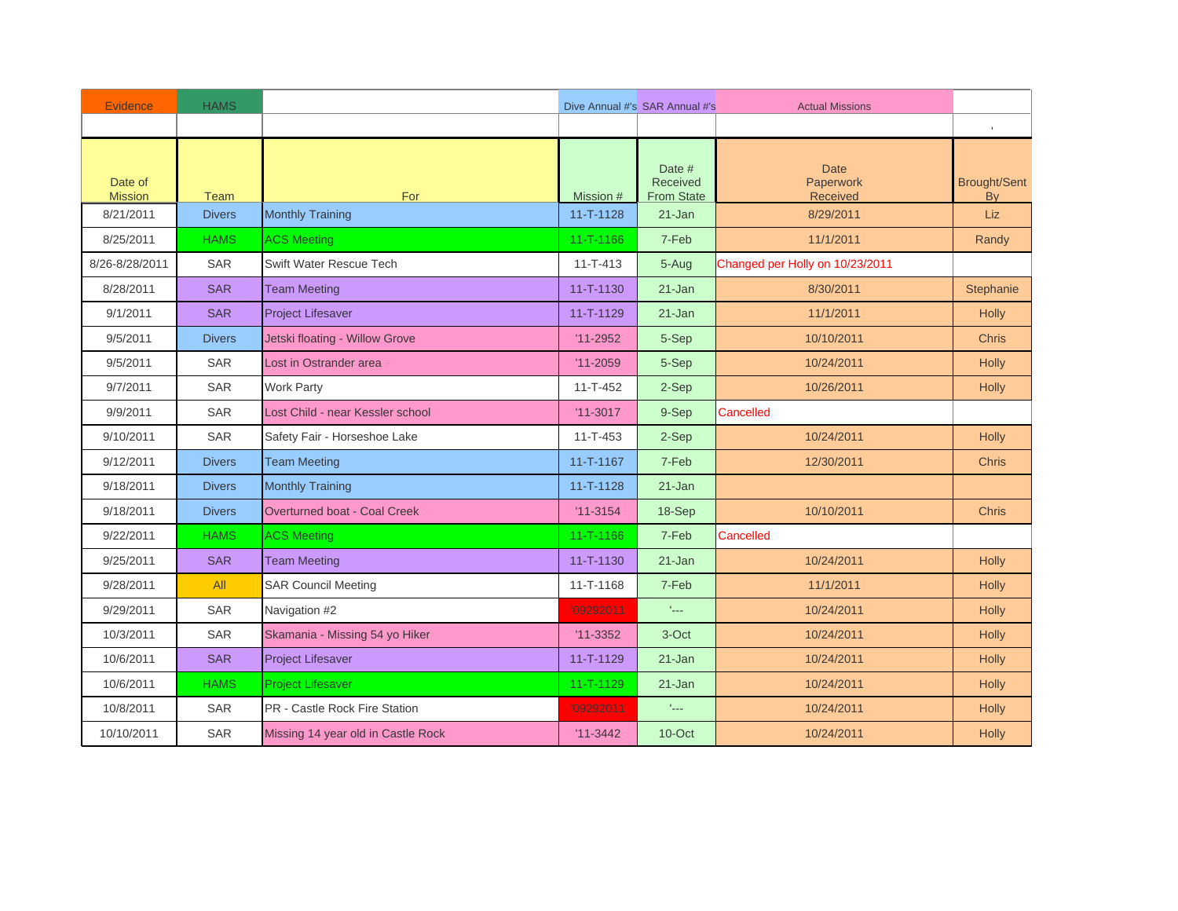| <b>Evidence</b>           | <b>HAMS</b>   |                                     |                 | Dive Annual #'s SAR Annual #'s                 | <b>Actual Missions</b>                      |                                  |
|---------------------------|---------------|-------------------------------------|-----------------|------------------------------------------------|---------------------------------------------|----------------------------------|
|                           |               |                                     |                 |                                                |                                             |                                  |
| Date of<br><b>Mission</b> | <b>Team</b>   | For                                 | Mission #       | Date #<br><b>Received</b><br><b>From State</b> | <b>Date</b><br>Paperwork<br><b>Received</b> | <b>Brought/Sent</b><br><b>By</b> |
| 8/21/2011                 | <b>Divers</b> | <b>Monthly Training</b>             | $11 - T - 1128$ | 21-Jan                                         | 8/29/2011                                   | <b>Liz</b>                       |
| 8/25/2011                 | <b>HAMS</b>   | <b>ACS Meeting</b>                  | $11 - T - 1166$ | 7-Feb                                          | 11/1/2011                                   | Randy                            |
| 8/26-8/28/2011            | <b>SAR</b>    | Swift Water Rescue Tech             | $11 - T - 413$  | 5-Aug                                          | Changed per Holly on 10/23/2011             |                                  |
| 8/28/2011                 | <b>SAR</b>    | <b>Team Meeting</b>                 | $11 - T - 1130$ | $21 - Jan$                                     | 8/30/2011                                   | Stephanie                        |
| 9/1/2011                  | <b>SAR</b>    | <b>Project Lifesaver</b>            | 11-T-1129       | $21 - Jan$                                     | 11/1/2011                                   | <b>Holly</b>                     |
| 9/5/2011                  | <b>Divers</b> | Jetski floating - Willow Grove      | $'11 - 2952$    | 5-Sep                                          | 10/10/2011                                  | <b>Chris</b>                     |
| 9/5/2011                  | SAR           | Lost in Ostrander area              | $'11 - 2059$    | 5-Sep                                          | 10/24/2011                                  | <b>Holly</b>                     |
| 9/7/2011                  | SAR           | Work Party                          | $11 - T - 452$  | 2-Sep                                          | 10/26/2011                                  | <b>Holly</b>                     |
| 9/9/2011                  | <b>SAR</b>    | Lost Child - near Kessler school    | $'11 - 3017$    | 9-Sep                                          | Cancelled                                   |                                  |
| 9/10/2011                 | <b>SAR</b>    | Safety Fair - Horseshoe Lake        | $11 - T - 453$  | 2-Sep                                          | 10/24/2011                                  | <b>Holly</b>                     |
| 9/12/2011                 | <b>Divers</b> | <b>Team Meeting</b>                 | 11-T-1167       | 7-Feb                                          | 12/30/2011                                  | <b>Chris</b>                     |
| 9/18/2011                 | <b>Divers</b> | <b>Monthly Training</b>             | 11-T-1128       | $21 - Jan$                                     |                                             |                                  |
| 9/18/2011                 | <b>Divers</b> | <b>Overturned boat - Coal Creek</b> | $'11-3154$      | 18-Sep                                         | 10/10/2011                                  | <b>Chris</b>                     |
| 9/22/2011                 | <b>HAMS</b>   | <b>ACS Meeting</b>                  | 11-T-1166       | 7-Feb                                          | Cancelled                                   |                                  |
| 9/25/2011                 | <b>SAR</b>    | <b>Team Meeting</b>                 | $11 - T - 1130$ | 21-Jan                                         | 10/24/2011                                  | <b>Holly</b>                     |
| 9/28/2011                 | All           | <b>SAR Council Meeting</b>          | 11-T-1168       | 7-Feb                                          | 11/1/2011                                   | <b>Holly</b>                     |
| 9/29/2011                 | <b>SAR</b>    | Navigation #2                       | '09292011       | tical.                                         | 10/24/2011                                  | <b>Holly</b>                     |
| 10/3/2011                 | SAR           | Skamania - Missing 54 yo Hiker      | $'11 - 3352$    | 3-Oct                                          | 10/24/2011                                  | <b>Holly</b>                     |
| 10/6/2011                 | <b>SAR</b>    | Project Lifesaver                   | 11-T-1129       | $21 - Jan$                                     | 10/24/2011                                  | <b>Holly</b>                     |
| 10/6/2011                 | <b>HAMS</b>   | <b>Project Lifesaver</b>            | $11 - T - 1129$ | $21 - Jan$                                     | 10/24/2011                                  | <b>Holly</b>                     |
| 10/8/2011                 | SAR           | PR - Castle Rock Fire Station       | '09292011       | $\mathbf{t}_{\text{max}}$                      | 10/24/2011                                  | <b>Holly</b>                     |
| 10/10/2011                | SAR           | Missing 14 year old in Castle Rock  | $'11-3442$      | 10-Oct                                         | 10/24/2011                                  | <b>Holly</b>                     |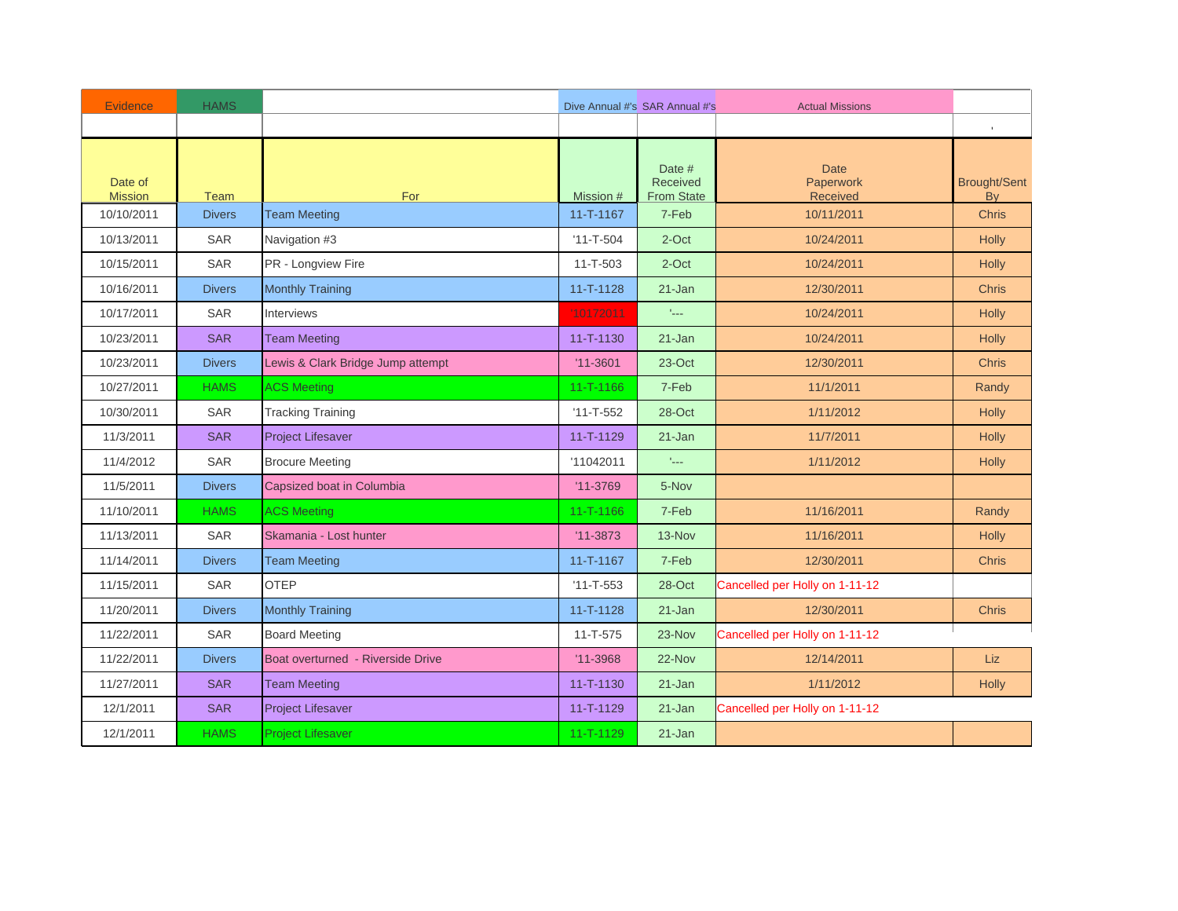| Evidence                  | <b>HAMS</b>   |                                   |                 | Dive Annual #'s SAR Annual #'s                 | <b>Actual Missions</b>               |                                  |
|---------------------------|---------------|-----------------------------------|-----------------|------------------------------------------------|--------------------------------------|----------------------------------|
|                           |               |                                   |                 |                                                |                                      | $\mathbf{r}$                     |
| Date of<br><b>Mission</b> | Team          | For                               | Mission #       | Date #<br><b>Received</b><br><b>From State</b> | <b>Date</b><br>Paperwork<br>Received | <b>Brought/Sent</b><br><b>By</b> |
| 10/10/2011                | <b>Divers</b> | <b>Team Meeting</b>               | 11-T-1167       | 7-Feb                                          | 10/11/2011                           | <b>Chris</b>                     |
| 10/13/2011                | <b>SAR</b>    | Navigation #3                     | $'11 - T - 504$ | 2-Oct                                          | 10/24/2011                           | Holly                            |
| 10/15/2011                | <b>SAR</b>    | PR - Longview Fire                | $11 - T - 503$  | 2-Oct                                          | 10/24/2011                           | <b>Holly</b>                     |
| 10/16/2011                | <b>Divers</b> | <b>Monthly Training</b>           | 11-T-1128       | $21 - Jan$                                     | 12/30/2011                           | <b>Chris</b>                     |
| 10/17/2011                | SAR           | Interviews                        | 10172011        | $\mathbf{t}_{\text{max}}$                      | 10/24/2011                           | Holly                            |
| 10/23/2011                | <b>SAR</b>    | <b>Team Meeting</b>               | $11 - T - 1130$ | $21 - Jan$                                     | 10/24/2011                           | <b>Holly</b>                     |
| 10/23/2011                | <b>Divers</b> | Lewis & Clark Bridge Jump attempt | $'11 - 3601$    | 23-Oct                                         | 12/30/2011                           | <b>Chris</b>                     |
| 10/27/2011                | <b>HAMS</b>   | <b>ACS Meeting</b>                | $11 - T - 1166$ | 7-Feb                                          | 11/1/2011                            | Randy                            |
| 10/30/2011                | SAR           | <b>Tracking Training</b>          | $'11 - T - 552$ | 28-Oct                                         | 1/11/2012                            | <b>Holly</b>                     |
| 11/3/2011                 | <b>SAR</b>    | <b>Project Lifesaver</b>          | 11-T-1129       | $21 - Jan$                                     | 11/7/2011                            | Holly                            |
| 11/4/2012                 | <b>SAR</b>    | <b>Brocure Meeting</b>            | '11042011       | $\mathbb{L}_{++}$                              | 1/11/2012                            | <b>Holly</b>                     |
| 11/5/2011                 | <b>Divers</b> | Capsized boat in Columbia         | $'11 - 3769$    | 5-Nov                                          |                                      |                                  |
| 11/10/2011                | <b>HAMS</b>   | <b>ACS Meeting</b>                | $11 - T - 1166$ | 7-Feb                                          | 11/16/2011                           | Randy                            |
| 11/13/2011                | <b>SAR</b>    | Skamania - Lost hunter            | $'11 - 3873$    | 13-Nov                                         | 11/16/2011                           | <b>Holly</b>                     |
| 11/14/2011                | <b>Divers</b> | <b>Team Meeting</b>               | 11-T-1167       | 7-Feb                                          | 12/30/2011                           | <b>Chris</b>                     |
| 11/15/2011                | SAR           | <b>OTEP</b>                       | $'11 - T - 553$ | 28-Oct                                         | Cancelled per Holly on 1-11-12       |                                  |
| 11/20/2011                | <b>Divers</b> | <b>Monthly Training</b>           | 11-T-1128       | $21 - Jan$                                     | 12/30/2011                           | <b>Chris</b>                     |
| 11/22/2011                | <b>SAR</b>    | <b>Board Meeting</b>              | 11-T-575        | 23-Nov                                         | Cancelled per Holly on 1-11-12       |                                  |
| 11/22/2011                | <b>Divers</b> | Boat overturned - Riverside Drive | $'11 - 3968$    | 22-Nov                                         | 12/14/2011                           | Liz                              |
| 11/27/2011                | <b>SAR</b>    | <b>Team Meeting</b>               | $11 - T - 1130$ | 21-Jan                                         | 1/11/2012                            | <b>Holly</b>                     |
| 12/1/2011                 | <b>SAR</b>    | <b>Project Lifesaver</b>          | 11-T-1129       | $21 - Jan$                                     | Cancelled per Holly on 1-11-12       |                                  |
| 12/1/2011                 | <b>HAMS</b>   | <b>Project Lifesaver</b>          | 11-T-1129       | $21 - Jan$                                     |                                      |                                  |